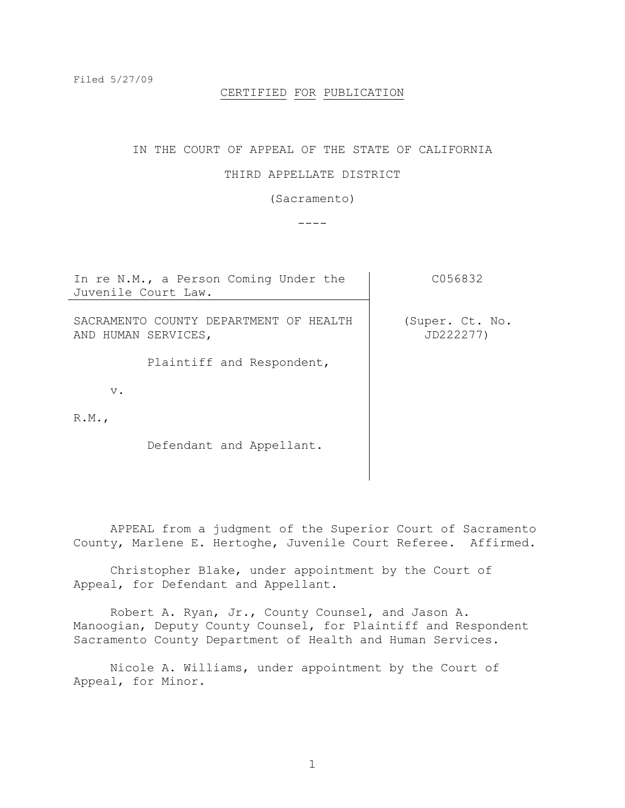#### CERTIFIED FOR PUBLICATION

### IN THE COURT OF APPEAL OF THE STATE OF CALIFORNIA

## THIRD APPELLATE DISTRICT

# (Sacramento)

----

| In re N.M., a Person Coming Under the<br>Juvenile Court Law.  | C056832                      |
|---------------------------------------------------------------|------------------------------|
| SACRAMENTO COUNTY DEPARTMENT OF HEALTH<br>AND HUMAN SERVICES, | (Super. Ct. No.<br>JD222277) |
| Plaintiff and Respondent,                                     |                              |
| $V$ .                                                         |                              |
| R.M.                                                          |                              |
| Defendant and Appellant.                                      |                              |

APPEAL from a judgment of the Superior Court of Sacramento County, Marlene E. Hertoghe, Juvenile Court Referee. Affirmed.

Christopher Blake, under appointment by the Court of Appeal, for Defendant and Appellant.

Robert A. Ryan, Jr., County Counsel, and Jason A. Manoogian, Deputy County Counsel, for Plaintiff and Respondent Sacramento County Department of Health and Human Services.

Nicole A. Williams, under appointment by the Court of Appeal, for Minor.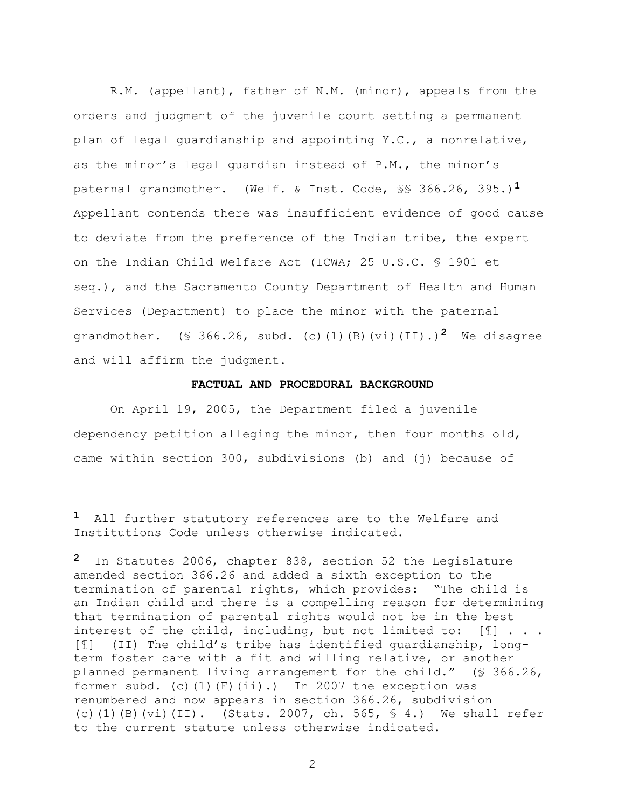R.M. (appellant), father of N.M. (minor), appeals from the orders and judgment of the juvenile court setting a permanent plan of legal guardianship and appointing Y.C., a nonrelative, as the minor's legal quardian instead of P.M., the minor's paternal grandmother. (Welf. & Inst. Code, §§ 366.26, 395.)**1** Appellant contends there was insufficient evidence of good cause to deviate from the preference of the Indian tribe, the expert on the Indian Child Welfare Act (ICWA; 25 U.S.C. § 1901 et seq.), and the Sacramento County Department of Health and Human Services (Department) to place the minor with the paternal grandmother. (§ 366.26, subd. (c)(1)(B)(vi)(II).)**2** We disagree and will affirm the judgment.

## **FACTUAL AND PROCEDURAL BACKGROUND**

On April 19, 2005, the Department filed a juvenile dependency petition alleging the minor, then four months old, came within section 300, subdivisions (b) and (j) because of

a<br>B

**<sup>1</sup>** All further statutory references are to the Welfare and Institutions Code unless otherwise indicated.

**<sup>2</sup>** In Statutes 2006, chapter 838, section 52 the Legislature amended section 366.26 and added a sixth exception to the termination of parental rights, which provides: "The child is an Indian child and there is a compelling reason for determining that termination of parental rights would not be in the best interest of the child, including, but not limited to: [¶] . . . [¶] (II) The child"s tribe has identified guardianship, longterm foster care with a fit and willing relative, or another planned permanent living arrangement for the child." (§ 366.26, former subd. (c) $(1)(F)(ii)$ .) In 2007 the exception was renumbered and now appears in section 366.26, subdivision (c)(1)(B)(vi)(II). (Stats. 2007, ch. 565,  $\frac{6}{5}$  4.) We shall refer to the current statute unless otherwise indicated.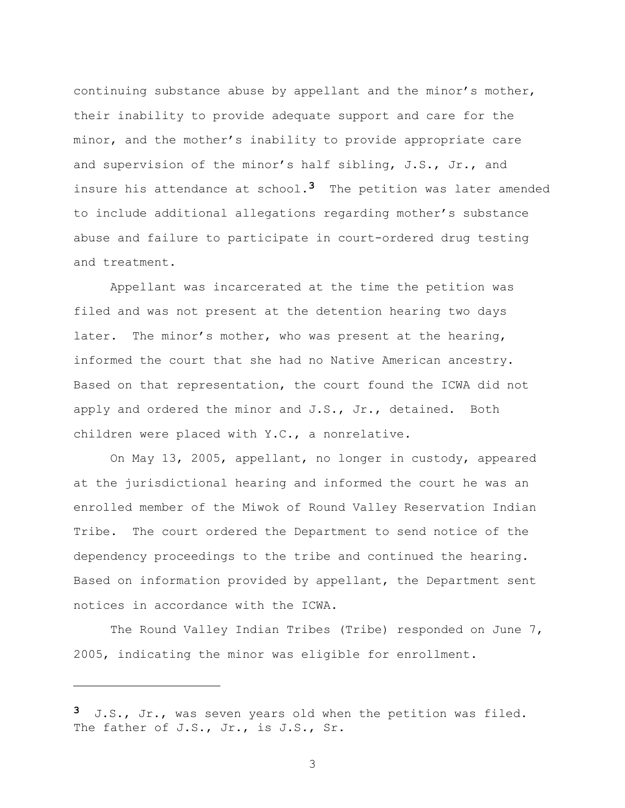continuing substance abuse by appellant and the minor's mother, their inability to provide adequate support and care for the minor, and the mother"s inability to provide appropriate care and supervision of the minor's half sibling, J.S., Jr., and insure his attendance at school.**3** The petition was later amended to include additional allegations regarding mother"s substance abuse and failure to participate in court-ordered drug testing and treatment.

Appellant was incarcerated at the time the petition was filed and was not present at the detention hearing two days later. The minor's mother, who was present at the hearing, informed the court that she had no Native American ancestry. Based on that representation, the court found the ICWA did not apply and ordered the minor and J.S., Jr., detained. Both children were placed with Y.C., a nonrelative.

On May 13, 2005, appellant, no longer in custody, appeared at the jurisdictional hearing and informed the court he was an enrolled member of the Miwok of Round Valley Reservation Indian Tribe. The court ordered the Department to send notice of the dependency proceedings to the tribe and continued the hearing. Based on information provided by appellant, the Department sent notices in accordance with the ICWA.

The Round Valley Indian Tribes (Tribe) responded on June 7, 2005, indicating the minor was eligible for enrollment.

a<br>B

**<sup>3</sup>** J.S., Jr., was seven years old when the petition was filed. The father of J.S., Jr., is J.S., Sr.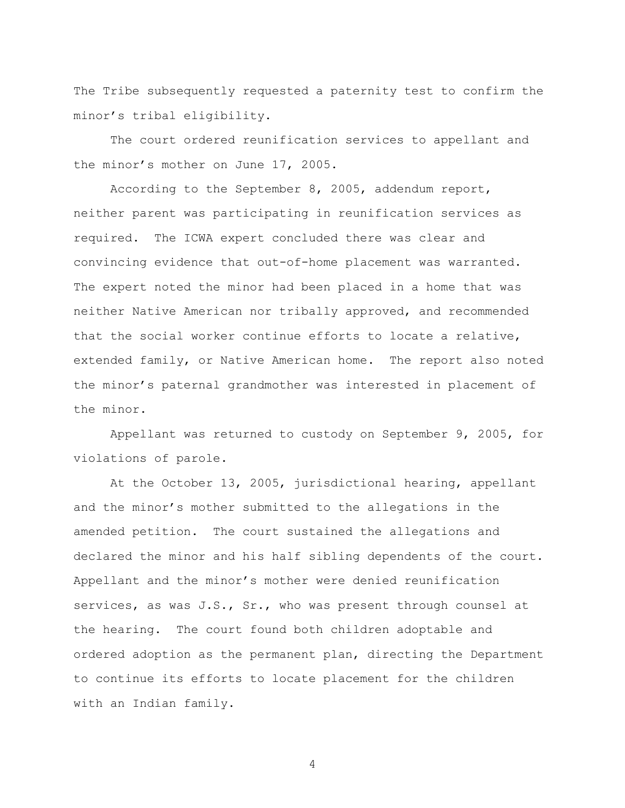The Tribe subsequently requested a paternity test to confirm the minor"s tribal eligibility.

The court ordered reunification services to appellant and the minor's mother on June 17, 2005.

According to the September 8, 2005, addendum report, neither parent was participating in reunification services as required. The ICWA expert concluded there was clear and convincing evidence that out-of-home placement was warranted. The expert noted the minor had been placed in a home that was neither Native American nor tribally approved, and recommended that the social worker continue efforts to locate a relative, extended family, or Native American home. The report also noted the minor's paternal grandmother was interested in placement of the minor.

Appellant was returned to custody on September 9, 2005, for violations of parole.

At the October 13, 2005, jurisdictional hearing, appellant and the minor"s mother submitted to the allegations in the amended petition. The court sustained the allegations and declared the minor and his half sibling dependents of the court. Appellant and the minor"s mother were denied reunification services, as was J.S., Sr., who was present through counsel at the hearing. The court found both children adoptable and ordered adoption as the permanent plan, directing the Department to continue its efforts to locate placement for the children with an Indian family.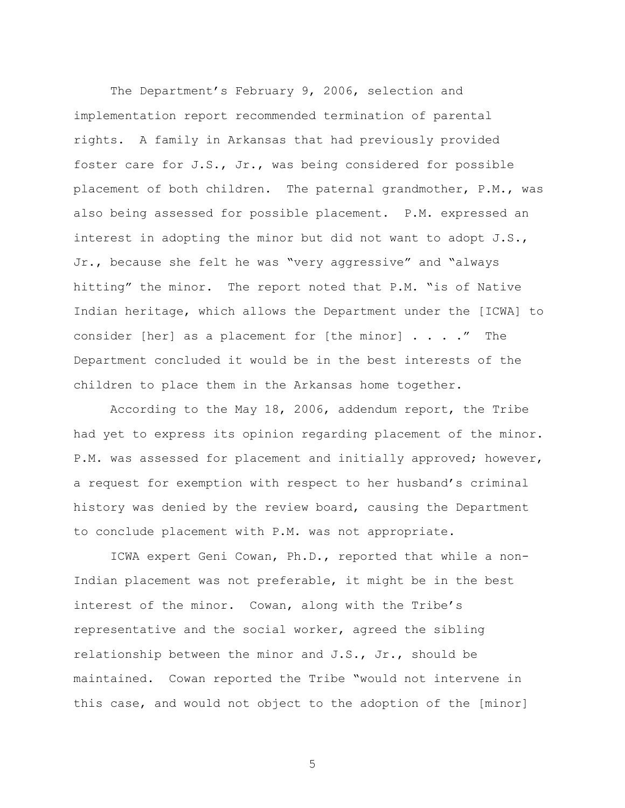The Department's February 9, 2006, selection and implementation report recommended termination of parental rights. A family in Arkansas that had previously provided foster care for J.S., Jr., was being considered for possible placement of both children. The paternal grandmother, P.M., was also being assessed for possible placement. P.M. expressed an interest in adopting the minor but did not want to adopt J.S., Jr., because she felt he was "very aggressive" and "always hitting" the minor. The report noted that P.M. "is of Native Indian heritage, which allows the Department under the [ICWA] to consider [her] as a placement for [the minor] . . . ." The Department concluded it would be in the best interests of the children to place them in the Arkansas home together.

According to the May 18, 2006, addendum report, the Tribe had yet to express its opinion regarding placement of the minor. P.M. was assessed for placement and initially approved; however, a request for exemption with respect to her husband"s criminal history was denied by the review board, causing the Department to conclude placement with P.M. was not appropriate.

ICWA expert Geni Cowan, Ph.D., reported that while a non-Indian placement was not preferable, it might be in the best interest of the minor. Cowan, along with the Tribe's representative and the social worker, agreed the sibling relationship between the minor and J.S., Jr., should be maintained. Cowan reported the Tribe "would not intervene in this case, and would not object to the adoption of the [minor]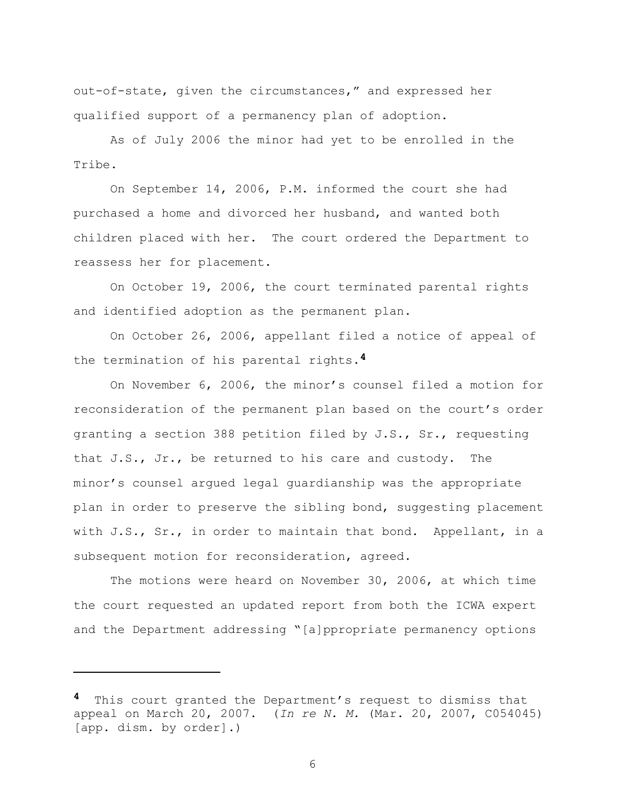out-of-state, given the circumstances," and expressed her qualified support of a permanency plan of adoption.

As of July 2006 the minor had yet to be enrolled in the Tribe.

On September 14, 2006, P.M. informed the court she had purchased a home and divorced her husband, and wanted both children placed with her. The court ordered the Department to reassess her for placement.

On October 19, 2006, the court terminated parental rights and identified adoption as the permanent plan.

On October 26, 2006, appellant filed a notice of appeal of the termination of his parental rights.**4**

On November 6, 2006, the minor"s counsel filed a motion for reconsideration of the permanent plan based on the court's order granting a section 388 petition filed by J.S., Sr., requesting that J.S., Jr., be returned to his care and custody. The minor"s counsel argued legal guardianship was the appropriate plan in order to preserve the sibling bond, suggesting placement with J.S., Sr., in order to maintain that bond. Appellant, in a subsequent motion for reconsideration, agreed.

The motions were heard on November 30, 2006, at which time the court requested an updated report from both the ICWA expert and the Department addressing "[a]ppropriate permanency options

a<br>B

This court granted the Department's request to dismiss that appeal on March 20, 2007. (*In re N. M.* (Mar. 20, 2007, C054045) [app. dism. by order].)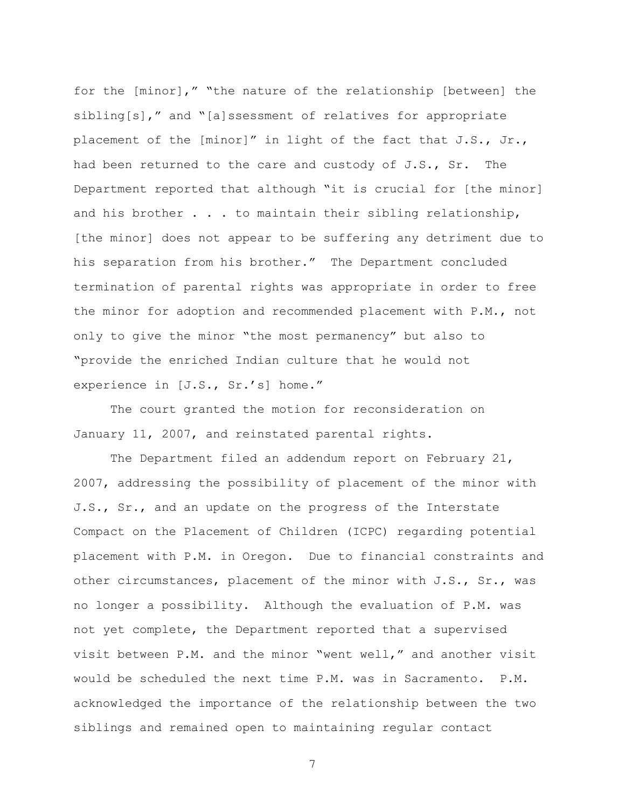for the [minor]," "the nature of the relationship [between] the sibling[s]," and "[a]ssessment of relatives for appropriate placement of the [minor]" in light of the fact that J.S., Jr., had been returned to the care and custody of J.S., Sr. The Department reported that although "it is crucial for [the minor] and his brother . . . to maintain their sibling relationship, [the minor] does not appear to be suffering any detriment due to his separation from his brother." The Department concluded termination of parental rights was appropriate in order to free the minor for adoption and recommended placement with P.M., not only to give the minor "the most permanency" but also to "provide the enriched Indian culture that he would not experience in [J.S., Sr.'s] home."

The court granted the motion for reconsideration on January 11, 2007, and reinstated parental rights.

The Department filed an addendum report on February 21, 2007, addressing the possibility of placement of the minor with J.S., Sr., and an update on the progress of the Interstate Compact on the Placement of Children (ICPC) regarding potential placement with P.M. in Oregon. Due to financial constraints and other circumstances, placement of the minor with J.S., Sr., was no longer a possibility. Although the evaluation of P.M. was not yet complete, the Department reported that a supervised visit between P.M. and the minor "went well," and another visit would be scheduled the next time P.M. was in Sacramento. P.M. acknowledged the importance of the relationship between the two siblings and remained open to maintaining regular contact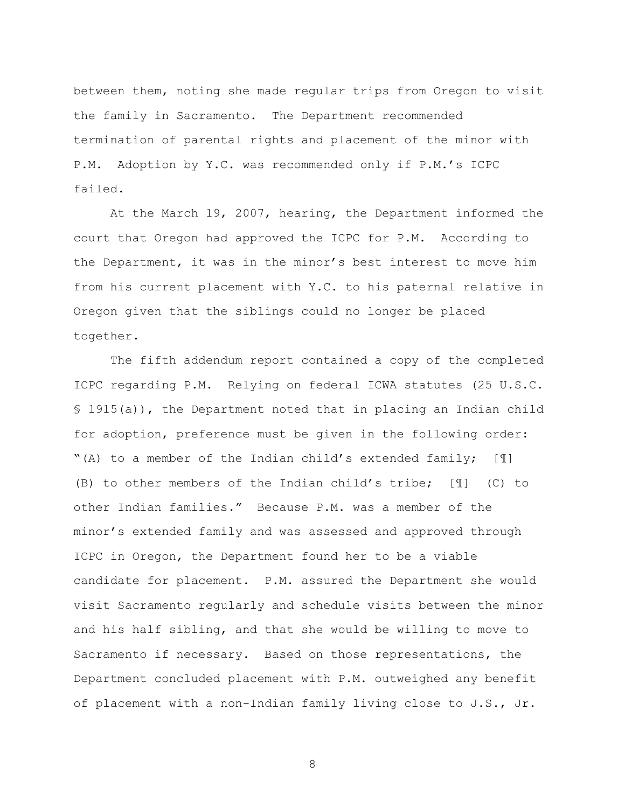between them, noting she made regular trips from Oregon to visit the family in Sacramento. The Department recommended termination of parental rights and placement of the minor with P.M. Adoption by Y.C. was recommended only if P.M."s ICPC failed.

At the March 19, 2007, hearing, the Department informed the court that Oregon had approved the ICPC for P.M. According to the Department, it was in the minor"s best interest to move him from his current placement with Y.C. to his paternal relative in Oregon given that the siblings could no longer be placed together.

The fifth addendum report contained a copy of the completed ICPC regarding P.M. Relying on federal ICWA statutes (25 U.S.C. § 1915(a)), the Department noted that in placing an Indian child for adoption, preference must be given in the following order: "(A) to a member of the Indian child"s extended family; [¶] (B) to other members of the Indian child"s tribe; [¶] (C) to other Indian families." Because P.M. was a member of the minor"s extended family and was assessed and approved through ICPC in Oregon, the Department found her to be a viable candidate for placement. P.M. assured the Department she would visit Sacramento regularly and schedule visits between the minor and his half sibling, and that she would be willing to move to Sacramento if necessary. Based on those representations, the Department concluded placement with P.M. outweighed any benefit of placement with a non-Indian family living close to J.S., Jr.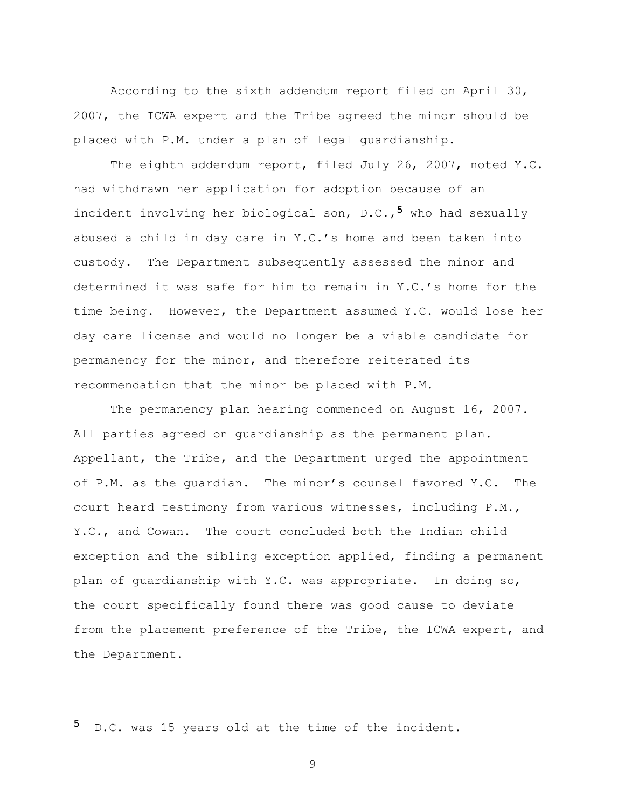According to the sixth addendum report filed on April 30, 2007, the ICWA expert and the Tribe agreed the minor should be placed with P.M. under a plan of legal guardianship.

The eighth addendum report, filed July 26, 2007, noted Y.C. had withdrawn her application for adoption because of an incident involving her biological son, D.C.,**5** who had sexually abused a child in day care in Y.C."s home and been taken into custody. The Department subsequently assessed the minor and determined it was safe for him to remain in Y.C."s home for the time being. However, the Department assumed Y.C. would lose her day care license and would no longer be a viable candidate for permanency for the minor, and therefore reiterated its recommendation that the minor be placed with P.M.

The permanency plan hearing commenced on August 16, 2007. All parties agreed on guardianship as the permanent plan. Appellant, the Tribe, and the Department urged the appointment of P.M. as the quardian. The minor's counsel favored Y.C. The court heard testimony from various witnesses, including P.M., Y.C., and Cowan. The court concluded both the Indian child exception and the sibling exception applied, finding a permanent plan of guardianship with Y.C. was appropriate. In doing so, the court specifically found there was good cause to deviate from the placement preference of the Tribe, the ICWA expert, and the Department.

**5** D.C. was 15 years old at the time of the incident.

L,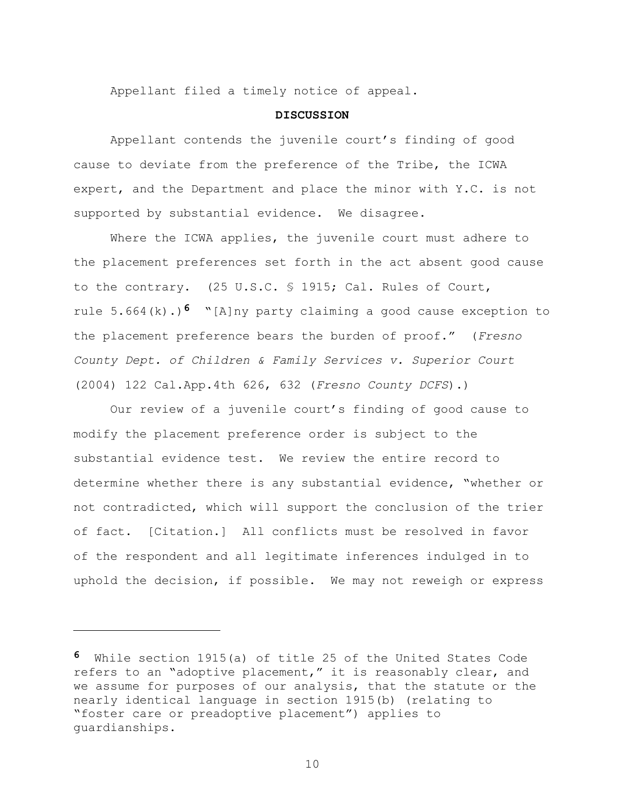Appellant filed a timely notice of appeal.

#### **DISCUSSION**

Appellant contends the juvenile court's finding of good cause to deviate from the preference of the Tribe, the ICWA expert, and the Department and place the minor with Y.C. is not supported by substantial evidence. We disagree.

Where the ICWA applies, the juvenile court must adhere to the placement preferences set forth in the act absent good cause to the contrary. (25 U.S.C. § 1915; Cal. Rules of Court, rule 5.664(k).)**6** "[A]ny party claiming a good cause exception to the placement preference bears the burden of proof." (*Fresno County Dept. of Children & Family Services v. Superior Court* (2004) 122 Cal.App.4th 626, 632 (*Fresno County DCFS*).)

Our review of a juvenile court's finding of good cause to modify the placement preference order is subject to the substantial evidence test. We review the entire record to determine whether there is any substantial evidence, "whether or not contradicted, which will support the conclusion of the trier of fact. [Citation.] All conflicts must be resolved in favor of the respondent and all legitimate inferences indulged in to uphold the decision, if possible. We may not reweigh or express

a<br>B

**<sup>6</sup>** While section 1915(a) of title 25 of the United States Code refers to an "adoptive placement," it is reasonably clear, and we assume for purposes of our analysis, that the statute or the nearly identical language in section 1915(b) (relating to "foster care or preadoptive placement") applies to guardianships.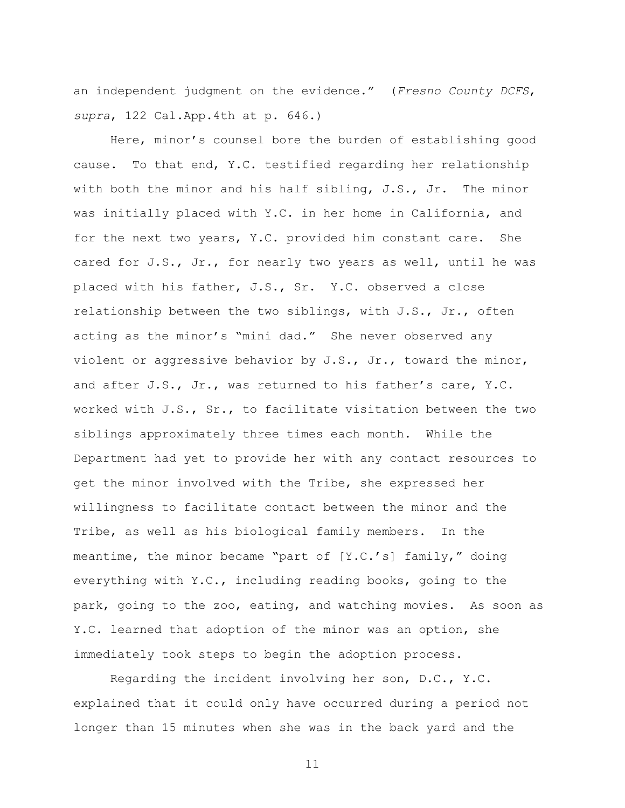an independent judgment on the evidence." (*Fresno County DCFS*, *supra*, 122 Cal.App.4th at p. 646.)

Here, minor's counsel bore the burden of establishing good cause. To that end, Y.C. testified regarding her relationship with both the minor and his half sibling,  $J.S.,$  Jr. The minor was initially placed with Y.C. in her home in California, and for the next two years, Y.C. provided him constant care. She cared for J.S., Jr., for nearly two years as well, until he was placed with his father, J.S., Sr. Y.C. observed a close relationship between the two siblings, with J.S., Jr., often acting as the minor's "mini dad." She never observed any violent or aggressive behavior by J.S., Jr., toward the minor, and after J.S., Jr., was returned to his father"s care, Y.C. worked with J.S., Sr., to facilitate visitation between the two siblings approximately three times each month. While the Department had yet to provide her with any contact resources to get the minor involved with the Tribe, she expressed her willingness to facilitate contact between the minor and the Tribe, as well as his biological family members. In the meantime, the minor became "part of [Y.C.'s] family," doing everything with Y.C., including reading books, going to the park, going to the zoo, eating, and watching movies. As soon as Y.C. learned that adoption of the minor was an option, she immediately took steps to begin the adoption process.

Regarding the incident involving her son, D.C., Y.C. explained that it could only have occurred during a period not longer than 15 minutes when she was in the back yard and the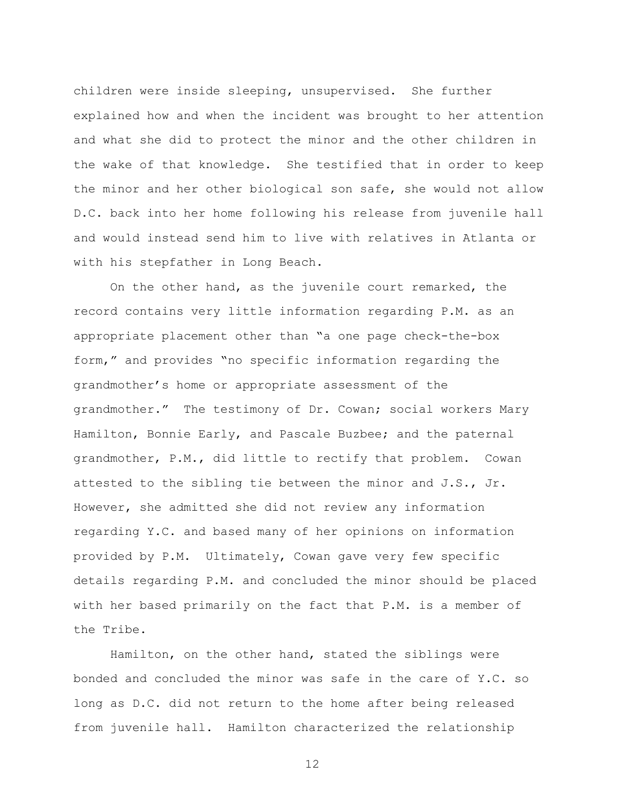children were inside sleeping, unsupervised. She further explained how and when the incident was brought to her attention and what she did to protect the minor and the other children in the wake of that knowledge. She testified that in order to keep the minor and her other biological son safe, she would not allow D.C. back into her home following his release from juvenile hall and would instead send him to live with relatives in Atlanta or with his stepfather in Long Beach.

On the other hand, as the juvenile court remarked, the record contains very little information regarding P.M. as an appropriate placement other than "a one page check-the-box form," and provides "no specific information regarding the grandmother"s home or appropriate assessment of the grandmother." The testimony of Dr. Cowan; social workers Mary Hamilton, Bonnie Early, and Pascale Buzbee; and the paternal grandmother, P.M., did little to rectify that problem. Cowan attested to the sibling tie between the minor and J.S., Jr. However, she admitted she did not review any information regarding Y.C. and based many of her opinions on information provided by P.M. Ultimately, Cowan gave very few specific details regarding P.M. and concluded the minor should be placed with her based primarily on the fact that P.M. is a member of the Tribe.

Hamilton, on the other hand, stated the siblings were bonded and concluded the minor was safe in the care of Y.C. so long as D.C. did not return to the home after being released from juvenile hall. Hamilton characterized the relationship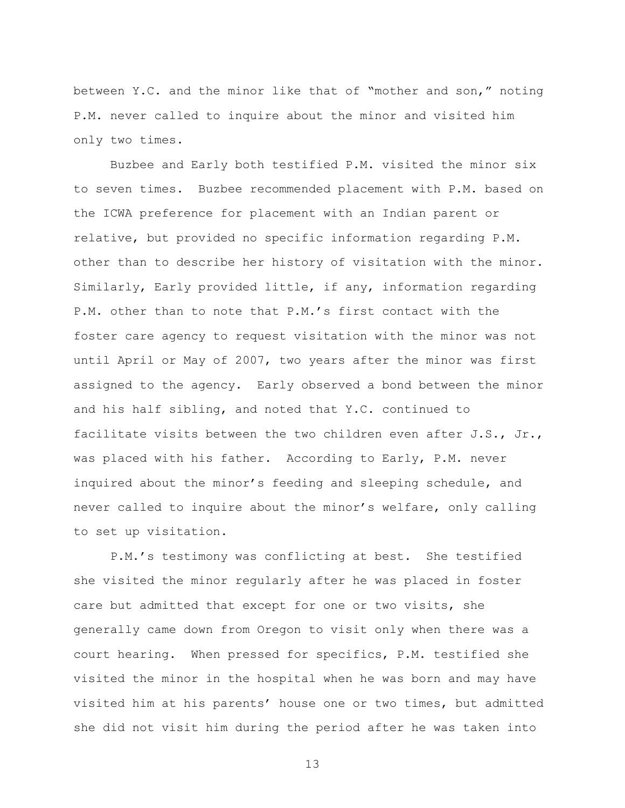between Y.C. and the minor like that of "mother and son," noting P.M. never called to inquire about the minor and visited him only two times.

Buzbee and Early both testified P.M. visited the minor six to seven times. Buzbee recommended placement with P.M. based on the ICWA preference for placement with an Indian parent or relative, but provided no specific information regarding P.M. other than to describe her history of visitation with the minor. Similarly, Early provided little, if any, information regarding P.M. other than to note that P.M."s first contact with the foster care agency to request visitation with the minor was not until April or May of 2007, two years after the minor was first assigned to the agency. Early observed a bond between the minor and his half sibling, and noted that Y.C. continued to facilitate visits between the two children even after J.S., Jr., was placed with his father. According to Early, P.M. never inquired about the minor"s feeding and sleeping schedule, and never called to inquire about the minor's welfare, only calling to set up visitation.

P.M."s testimony was conflicting at best. She testified she visited the minor regularly after he was placed in foster care but admitted that except for one or two visits, she generally came down from Oregon to visit only when there was a court hearing. When pressed for specifics, P.M. testified she visited the minor in the hospital when he was born and may have visited him at his parents" house one or two times, but admitted she did not visit him during the period after he was taken into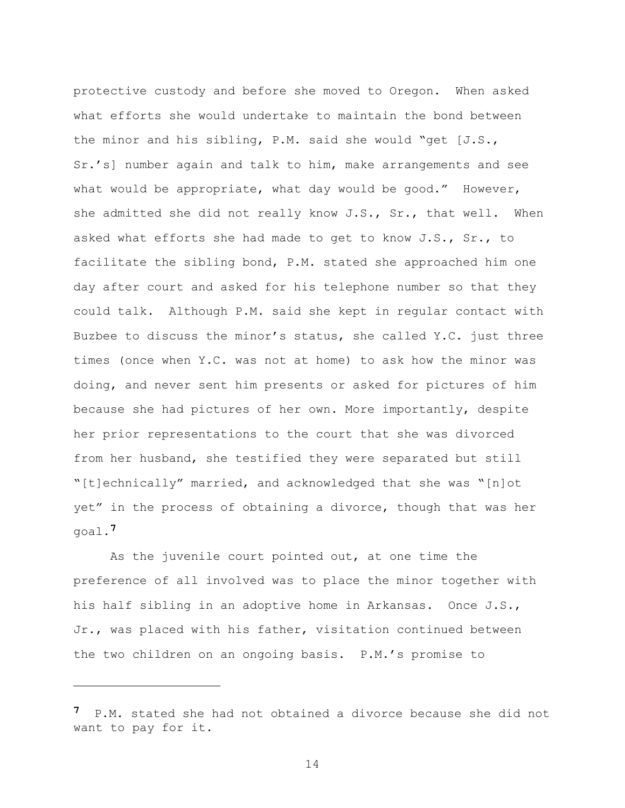protective custody and before she moved to Oregon. When asked what efforts she would undertake to maintain the bond between the minor and his sibling, P.M. said she would "get [J.S., Sr."s] number again and talk to him, make arrangements and see what would be appropriate, what day would be good." However, she admitted she did not really know J.S., Sr., that well. When asked what efforts she had made to get to know J.S., Sr., to facilitate the sibling bond, P.M. stated she approached him one day after court and asked for his telephone number so that they could talk. Although P.M. said she kept in regular contact with Buzbee to discuss the minor"s status, she called Y.C. just three times (once when Y.C. was not at home) to ask how the minor was doing, and never sent him presents or asked for pictures of him because she had pictures of her own. More importantly, despite her prior representations to the court that she was divorced from her husband, she testified they were separated but still "[t]echnically" married, and acknowledged that she was "[n]ot yet" in the process of obtaining a divorce, though that was her goal.**7**

As the juvenile court pointed out, at one time the preference of all involved was to place the minor together with his half sibling in an adoptive home in Arkansas. Once J.S., Jr., was placed with his father, visitation continued between the two children on an ongoing basis. P.M."s promise to

a<br>B

**<sup>7</sup>** P.M. stated she had not obtained a divorce because she did not want to pay for it.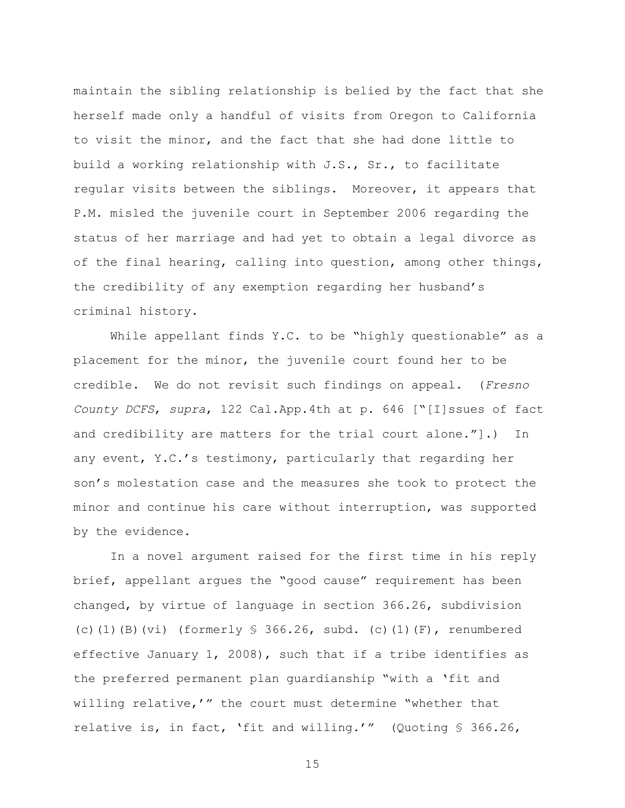maintain the sibling relationship is belied by the fact that she herself made only a handful of visits from Oregon to California to visit the minor, and the fact that she had done little to build a working relationship with J.S., Sr., to facilitate regular visits between the siblings. Moreover, it appears that P.M. misled the juvenile court in September 2006 regarding the status of her marriage and had yet to obtain a legal divorce as of the final hearing, calling into question, among other things, the credibility of any exemption regarding her husband"s criminal history.

While appellant finds Y.C. to be "highly questionable" as a placement for the minor, the juvenile court found her to be credible. We do not revisit such findings on appeal. (*Fresno County DCFS*, *supra*, 122 Cal.App.4th at p. 646 ["[I]ssues of fact and credibility are matters for the trial court alone."].) In any event, Y.C."s testimony, particularly that regarding her son"s molestation case and the measures she took to protect the minor and continue his care without interruption, was supported by the evidence.

In a novel argument raised for the first time in his reply brief, appellant argues the "good cause" requirement has been changed, by virtue of language in section 366.26, subdivision (c)(1)(B)(vi) (formerly § 366.26, subd. (c)(1)(F), renumbered effective January 1, 2008), such that if a tribe identifies as the preferred permanent plan guardianship "with a "fit and willing relative,'" the court must determine "whether that relative is, in fact, "fit and willing."" (Quoting § 366.26,